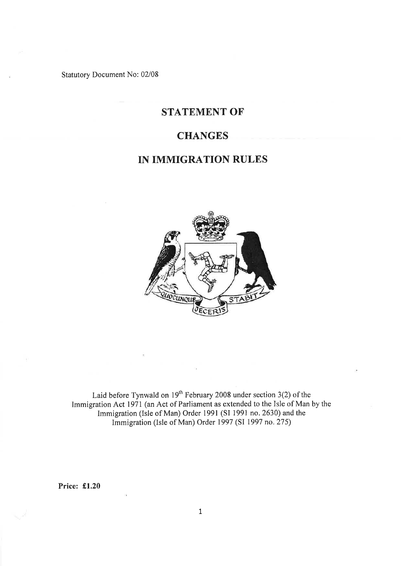Statutory Document No: 02/08

## STATEMENT OF

## **CHANGES**

# IN IMMIGRATION RULES



Laid before Tynwald on  $19^{\text{m}}$  February 2008 under section 3(2) of the Immigration Act 1971 (an Act of Parliament as extended to the Isle of Man by the Immigration (Isle of Man) Order l99l (SI l99l no. 2630) and the Immigration (Isle of Man) Order 1997 (SI 1997 no.275)

Price: £1.20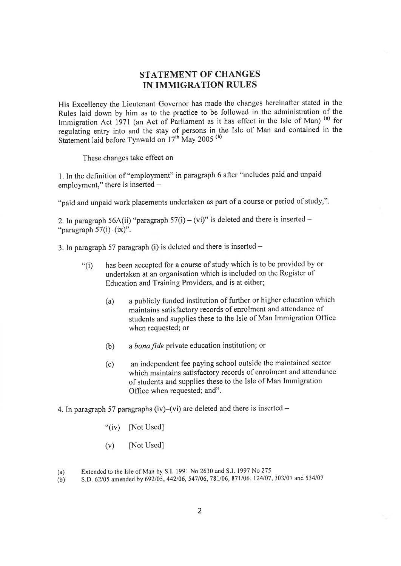### STATEMENT OF CHANGES IN IMMIGRATION RULES

His Excellency the Lieutenant Governor has made the changes hereinafter stated in the Rules laid down by him as to the practice to be followed in the administration of the Immigration Act 1971 (an Act of Parliament as it has effect in the Isle of Man)<sup>(a)</sup> for regulating entry into and the stay of persons in the Isle of Man and contained in the Statement laid before Tynwald on 17<sup>th</sup> May 2005<sup>(b)</sup>

These changes take effect on

1. In the definition of "employment" in paragraph 6 after "includes paid and unpaid employment," there is inserted  $-$ 

"paid and unpaid work placements undertaken as part of a course or period of study,",

2. In paragraph 56A(ii) "paragraph  $57(i) - (vi)$ " is deleted and there is inserted -"paragraph  $57(i)$ - $(ix)$ ".

3. In paragraph 57 paragraph (i) is deleted and there is inserted  $-$ 

- "(i) has been accepted for a course of study which is to be provided by or undertaken at an organisation which is included on the Register of Education and Training Providers, and is at either;
	- (a) a publicly funded institution of further or higher education which maintains satisfactory records of enrolment and attendance of students and supplies these to the Isle of Man Immigration Office when requested; or
	- (b) a bona fide private education institution; or
	- (c) an independent fee paying school outside the maintained sector which maintains satisfactory records of enrolment and attendance of students and supplies these to the Isle of Man Immigration Office when requested; and".
- 4. In paragraph 57 paragraphs (iv)–(vi) are deleted and there is inserted  $-$ 
	- "(iv) [Not Used]
	- $(v)$  [Not Used]

Extended to the Isle of Man by S.I. 1991 No 2630 and S.I. 1997 No 275 (a)

s.D. 62105 amended by 692105,442/06,547106,781106,871/06, 124107,303107 and 534107 (b)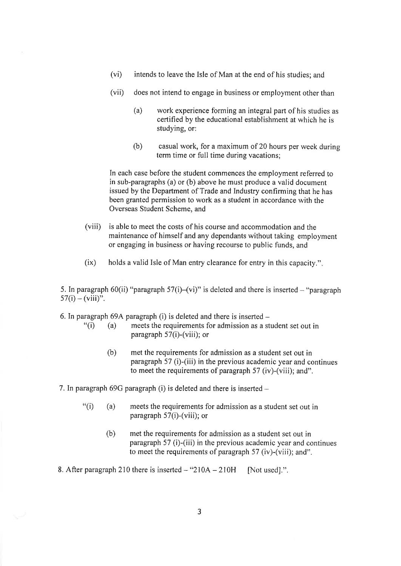- (vi) intends to leave the Isle of Man at the end of his studies; and
- (vii) does not intend to engage in business or employment other than
	- (a) work experience forming an integral part of his studies as certified by the educational establishment at which he is studying, or:
	- (b) casual work, for a maximum of 20 hours per week during term time or full time during vacations;

In each case before the student commences the employment referred to in sub-paragraphs (a) or (b) above he must produce a valid document issued by the Department of Trade and Industry confìrming that he has been granted permission to work as a student in accordance with the Overseas Student Scheme, and

- (viii) is able to meet the costs of his course and accommodation and the maintenance of himself and any dependants without taking employment or engaging in business or having recourse to public funds, and
- (ix) holds a valid Isle of Man entry clearance for entry in this capacity."

5. In paragraph 60(ii) "paragraph 57(i)-(vi)" is deleted and there is inserted - "paragraph  $57(i) - (viii)$ ".

6. In paragraph 69A paragraph (i) is deleted and there is inserted  $-$ <br>
"(i) (a) meets the requirements for admission as a st

- meets the requirements for admission as a student set out in paragraph 57(i)-(viii); or
	- (b) met the requirements for admission as a student set out in paragraph 57 (i)-(iii) in the previous academic year and continues to meet the requirements of paragraph 57 (iv)-(viii); and".
- 7. In paragraph  $69G$  paragraph (i) is deleted and there is inserted  $-$ 
	- "(i) (a) meets the requirements for admission as a student set out in paragraph 57(i)-(viii); or
		- (b) met the requirements for admission as a student set out in paragraph 57 (i)-(iii) in the previous academic year and continues to meet the requirements of paragraph 57 (iv)-(viii); and".

8. After paragraph 210 there is inserted  $-$  "210A  $-$  210H [Not used].".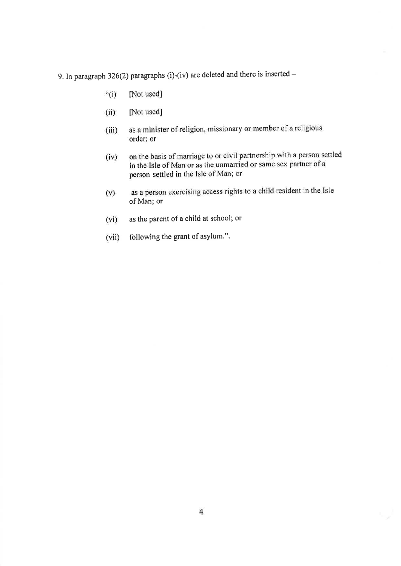- 9. In paragraph 326(2) paragraphs (i)-(iv) are deleted and there is inserted  $-$ 
	- $``(i)$ [Not used]
	- [Not used]  $(ii)$
	- as a minister of religion, missionary or member of a religious  $(iii)$ order; or
	- on the basis of marriage to or civil partnership with a person settled  $(iv)$ in the Isle of Man or as the unmarried or same sex partner of a person settled in the Isle of Man; or
	- as a person exercising access rights to a child resident in the Isle  $(v)$ of Man; or
	- as the parent of a child at school; or  $(vi)$
	- $(vii)$ following the grant of asylum.".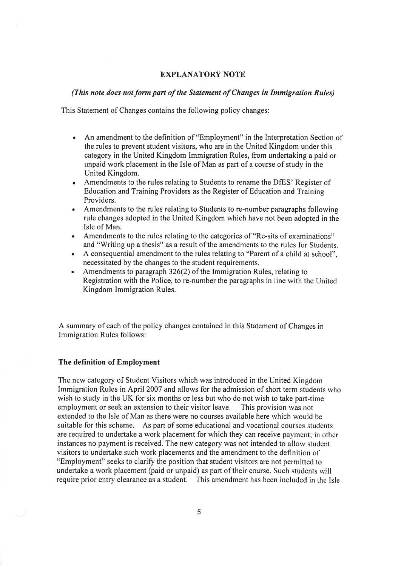#### EXPLANATORY NOTE

#### (This nole does not form pørt of the Slatemenl of Changes in Immigration Rules)

This Statement of Changes contains the following policy changes:

- An amendment to the definition of "Employment" in the Interpretation Section of the rules to prevent student visitors, who are in the United Kingdom under this category in the United Kingdom Immigration Rules, from undertaking a paid or unpaid work placement in the Isle of Man as part of a course of study in the United Kingdom. a
- Amendments to the rules relating to Students to rename the DfES' Register of ۰ Education and Training Providers as the Register of Education and Training Providers.
- Amendments to the rules relating to Students to re-number paragraphs following rule changes adopted in the United Kingdom which have not been adopted in the Isle of Man. a
- Amendments to the rules relating to the categories of "Re-sits of examinations" and "Writing up a thesis" as a result of the amendments to the rules for Students. a
- A consequential amendment to the rules relating to "Parent of a child at school", necessitated by the changes to the student requirements.
- Amendments to paragraph 326(2) of the Immigration Rules, relating to Registration with the Police, to re-number the paragraphs in line with the United Kingdom Immigration Rules. a

A summary of each of the policy changes contained in this Statement of Changes in Immigration Rules follows:

#### The definition of Employment

The new category of Student Visitors which was introduced in the United Kingdom Immigration Rules in April 2007 and allows for the admission of short term students who wish to study in the UK for six months or less but who do not wish to take part-time employment or seek an extension to their visitor leave. This provision was not extended to the Isle of Man as there were no courses available here which would be suitable for this scheme. As part of some educational and vocational courses students are required to undertake a work placement for which they can receive payment; in other instances no payment is received, The new category was not intended to allow student visitors to undertake such work placements and the amendment to the definition of "Employment" seeks to clarify the position that student visitors are not permitted to undertake a work placement (paid or unpaid) as part of their course. Such students will require prior entry clearance as a student. This amendment has been included in the Isle